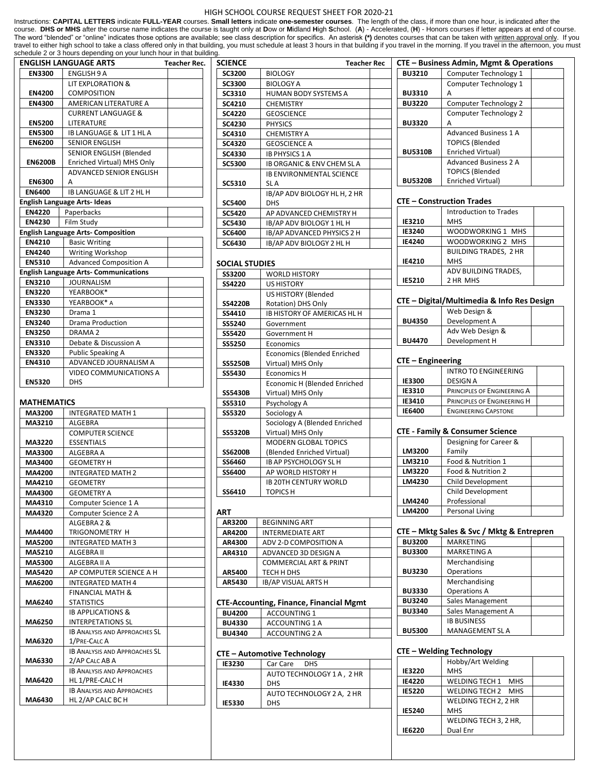#### HIGH SCHOOL COURSE REQUEST SHEET FOR 2020-21

Instructions: **CAPITAL LETTERS** indicate **FULL-YEAR** courses. **Small letters** indicate **one-semester courses**. The length of the class, if more than one hour, is indicated after the course. DHS or MHS after the course name indicates the course is taught only at Dow or Midland High School. (A) - Accelerated, (H) - Honors courses if letter appears at end of course. The word "blended" or "online" indicates those options are available; see class description for specifics. An asterisk **(\*)** denotes courses that can be taken with written approval only. If you travel to either high school to take a class offered only in that building, you must schedule at least 3 hours in that building if you travel in the morning. If you travel in the afternoon, you must schedule 2 or 3 hours depending on your lunch hour in that building.

|                | <b>ENGLISH LANGUAGE ARTS</b>                 | <b>Teacher Rec.</b> |
|----------------|----------------------------------------------|---------------------|
| <b>EN3300</b>  | ENGLISH 9 A                                  |                     |
|                | <b>LIT EXPLORATION &amp;</b>                 |                     |
| <b>EN4200</b>  | <b>COMPOSITION</b>                           |                     |
| EN4300         | AMERICAN LITERATURE A                        |                     |
|                | <b>CURRENT LANGUAGE &amp;</b>                |                     |
| <b>EN5200</b>  | LITERATURE                                   |                     |
| <b>EN5300</b>  | IB LANGUAGE & LIT 1 HL A                     |                     |
| <b>EN6200</b>  | <b>SENIOR ENGLISH</b>                        |                     |
|                | SENIOR ENGLISH (Blended                      |                     |
| <b>EN6200B</b> | Enriched Virtual) MHS Only                   |                     |
|                | <b>ADVANCED SENIOR ENGLISH</b>               |                     |
| <b>EN6300</b>  | А                                            |                     |
| <b>EN6400</b>  | <b>IB LANGUAGE &amp; LIT 2 HL H</b>          |                     |
|                | <b>English Language Arts-Ideas</b>           |                     |
| <b>EN4220</b>  | Paperbacks                                   |                     |
| EN4230         | Film Study                                   |                     |
|                | <b>English Language Arts- Composition</b>    |                     |
| EN4210         | <b>Basic Writing</b>                         |                     |
| <b>EN4240</b>  | Writing Workshop                             |                     |
| <b>EN5310</b>  | <b>Advanced Composition A</b>                |                     |
|                | <b>English Language Arts- Communications</b> |                     |
| <b>EN3210</b>  | <b>JOURNALISM</b>                            |                     |
| <b>EN3220</b>  | YEARBOOK*                                    |                     |
| <b>EN3330</b>  | YEARBOOK* A                                  |                     |
| <b>EN3230</b>  | Drama 1                                      |                     |
| <b>EN3240</b>  | <b>Drama Production</b>                      |                     |
| <b>EN3250</b>  | DRAMA <sub>2</sub>                           |                     |
| <b>EN3310</b>  | Debate & Discussion A                        |                     |
| <b>EN3320</b>  | <b>Public Speaking A</b>                     |                     |
| EN4310         | ADVANCED JOURNALISM A                        |                     |
|                | <b>VIDEO COMMUNICATIONS A</b>                |                     |
| <b>EN5320</b>  | <b>DHS</b>                                   |                     |

### **MATHEMATICS**

| MA3200        | <b>INTEGRATED MATH 1</b>             |  |
|---------------|--------------------------------------|--|
| MA3210        | <b>ALGEBRA</b>                       |  |
|               | <b>COMPUTER SCIENCE</b>              |  |
| <b>MA3220</b> | <b>ESSENTIALS</b>                    |  |
| MA3300        | ALGEBRA A                            |  |
| MA3400        | <b>GEOMETRY H</b>                    |  |
| MA4200        | <b>INTEGRATED MATH 2</b>             |  |
| MA4210        | <b>GEOMETRY</b>                      |  |
| MA4300        | <b>GEOMETRY A</b>                    |  |
| MA4310        | Computer Science 1 A                 |  |
| MA4320        | Computer Science 2 A                 |  |
|               | ALGEBRA 2 &                          |  |
| MA4400        | TRIGONOMETRY H                       |  |
| <b>MA5200</b> | <b>INTEGRATED MATH 3</b>             |  |
| MA5210        | <b>ALGEBRA II</b>                    |  |
| <b>MA5300</b> | ALGEBRA II A                         |  |
| <b>MA5420</b> | AP COMPUTER SCIENCE A H              |  |
| MA6200        | <b>INTEGRATED MATH 4</b>             |  |
|               | <b>FINANCIAL MATH &amp;</b>          |  |
| MA6240        | <b>STATISTICS</b>                    |  |
|               | <b>IB APPLICATIONS &amp;</b>         |  |
| MA6250        | <b>INTERPETATIONS SL</b>             |  |
|               | <b>IB ANALYSIS AND APPROACHES SL</b> |  |
| MA6320        | 1/PRE-CALC A                         |  |
|               | <b>IB ANALYSIS AND APPROACHES SL</b> |  |
| MA6330        | 2/AP CALC AB A                       |  |
|               | <b>IB ANALYSIS AND APPROACHES</b>    |  |
| MA6420        | HL 1/PRE-CALC H                      |  |
|               | <b>IB ANALYSIS AND APPROACHES</b>    |  |
| MA6430        | HL 2/AP CALC BC H                    |  |

| <b>SCIENCE</b>        | <b>Teacher Rec</b>                 |  |
|-----------------------|------------------------------------|--|
| <b>SC3200</b>         | <b>BIOLOGY</b>                     |  |
| <b>SC3300</b>         | <b>BIOLOGY A</b>                   |  |
| SC3310                | HUMAN BODY SYSTEMS A               |  |
| SC4210                | <b>CHEMISTRY</b>                   |  |
| <b>SC4220</b>         | <b>GEOSCIENCE</b>                  |  |
| <b>SC4230</b>         | <b>PHYSICS</b>                     |  |
| SC4310                | <b>CHEMISTRY A</b>                 |  |
| <b>SC4320</b>         | <b>GEOSCIENCE A</b>                |  |
| <b>SC4330</b>         | <b>IB PHYSICS 1 A</b>              |  |
| <b>SC5300</b>         | IB ORGANIC & ENV CHEM SLA          |  |
|                       | <b>IB ENVIRONMENTAL SCIENCE</b>    |  |
| <b>SC5310</b>         | SL A                               |  |
|                       | IB/AP ADV BIOLOGY HL H, 2 HR       |  |
| <b>SC5400</b>         | <b>DHS</b>                         |  |
| <b>SC5420</b>         | AP ADVANCED CHEMISTRY H            |  |
| <b>SC5430</b>         | IB/AP ADV BIOLOGY 1 HL H           |  |
| <b>SC6400</b>         | IB/AP ADVANCED PHYSICS 2 H         |  |
| <b>SC6430</b>         | IB/AP ADV BIOLOGY 2 HL H           |  |
| <b>SOCIAL STUDIES</b> |                                    |  |
| <b>SS3200</b>         | <b>WORLD HISTORY</b>               |  |
| <b>SS4220</b>         | <b>US HISTORY</b>                  |  |
|                       | <b>US HISTORY (Blended</b>         |  |
| <b>SS4220B</b>        | Rotation) DHS Only                 |  |
| SS4410                | <b>IB HISTORY OF AMERICAS HL H</b> |  |
| SS5240                | Government                         |  |
| <b>SS5420</b>         | Government H                       |  |
|                       |                                    |  |

| <b>SS5420</b>  | Government H                       |  |
|----------------|------------------------------------|--|
| <b>SS5250</b>  | Economics                          |  |
|                | <b>Economics (Blended Enriched</b> |  |
| <b>SS5250B</b> | Virtual) MHS Only                  |  |
| <b>SS5430</b>  | <b>Economics H</b>                 |  |
|                | Economic H (Blended Enriched       |  |
| <b>SS5430B</b> | Virtual) MHS Only                  |  |
| <b>SS5310</b>  | Psychology A                       |  |
| <b>SS5320</b>  | Sociology A                        |  |
|                | Sociology A (Blended Enriched      |  |
| <b>SS5320B</b> | Virtual) MHS Only                  |  |
|                | <b>MODERN GLOBAL TOPICS</b>        |  |
| <b>SS6200B</b> | (Blended Enriched Virtual)         |  |
| <b>SS6460</b>  | IB AP PSYCHOLOGY SL H              |  |
| <b>SS6400</b>  | AP WORLD HISTORY H                 |  |
|                | IB 20TH CENTURY WORLD              |  |
| <b>SS6410</b>  | <b>TOPICS H</b>                    |  |

### **ART**

| AR3200 | <b>BEGINNING ART</b>              |  |
|--------|-----------------------------------|--|
| AR4200 | <b>INTERMEDIATE ART</b>           |  |
| AR4300 | ADV 2-D COMPOSITION A             |  |
| AR4310 | ADVANCED 3D DESIGN A              |  |
|        | <b>COMMERCIAL ART &amp; PRINT</b> |  |
| AR5400 | TECH H DHS                        |  |
| AR5430 | <b>IB/AP VISUAL ARTS H</b>        |  |

### **CTE-Accounting, Finance, Financial Mgmt**

| <b>BU4200</b> | <b>ACCOUNTING 1</b> |  |
|---------------|---------------------|--|
| <b>BU4330</b> | ACCOUNTING 1 A      |  |
| <b>BU4340</b> | ACCOUNTING 2 A      |  |

# **CTE – Automotive Technology**

| <b>IE3230</b> | Car Care<br>DHS           |  |
|---------------|---------------------------|--|
|               | AUTO TECHNOLOGY 1 A, 2 HR |  |
| IE4330        | <b>DHS</b>                |  |
|               | AUTO TECHNOLOGY 2 A, 2 HR |  |
| <b>IE5330</b> | <b>DHS</b>                |  |

| CTE – Business Admin, Mgmt & Operations |                              |  |
|-----------------------------------------|------------------------------|--|
| <b>BU3210</b>                           | Computer Technology 1        |  |
|                                         | Computer Technology 1        |  |
| <b>BU3310</b>                           | А                            |  |
| <b>BU3220</b>                           | Computer Technology 2        |  |
|                                         | Computer Technology 2        |  |
| <b>BU3320</b>                           | А                            |  |
|                                         | <b>Advanced Business 1 A</b> |  |
|                                         | <b>TOPICS (Blended</b>       |  |
| <b>BU5310B</b>                          | Enriched Virtual)            |  |
|                                         | <b>Advanced Business 2 A</b> |  |
|                                         | <b>TOPICS (Blended</b>       |  |
| <b>BU5320B</b>                          | Enriched Virtual)            |  |

#### **CTE – Construction Trades IE3210** Introduction to Trades MHS **IE3240** WOODWORKING 1 MHS<br>**IE4240** WOODWORKING 2 MHS **IE4240** WOODWORKING 2 MHS **IE4210** BUILDING TRADES, 2 HR MHS **IE5210** ADV BUILDING TRADES, 2 HR MHS

# **CTE – Digital/Multimedia & Info Res Design**

|               | Web Design &     |  |
|---------------|------------------|--|
| <b>BU4350</b> | Development A    |  |
|               | Adv Web Design & |  |
| <b>BU4470</b> | Development H    |  |

### **CTE – Engineering**

|               | <b>INTRO TO ENGINEERING</b> |  |
|---------------|-----------------------------|--|
| <b>IE3300</b> | <b>DESIGN A</b>             |  |
| <b>IE3310</b> | PRINCIPLES OF ENGINEERING A |  |
| IE3410        | PRINCIPLES OF ENGINEERING H |  |
| <b>IE6400</b> | <b>ENGINEERING CAPSTONE</b> |  |

# **CTE - Family & Consumer Science**

|        | Designing for Career & |  |
|--------|------------------------|--|
| LM3200 | Family                 |  |
| LM3210 | Food & Nutrition 1     |  |
| LM3220 | Food & Nutrition 2     |  |
| LM4230 | Child Development      |  |
|        | Child Development      |  |
| LM4240 | Professional           |  |
| LM4200 | Personal Living        |  |

# **CTE – Mktg Sales & Svc / Mktg & Entrepren**

| <b>BU3200</b> | <b>MARKETING</b>       |  |
|---------------|------------------------|--|
| <b>BU3300</b> | <b>MARKETING A</b>     |  |
|               | Merchandising          |  |
| <b>BU3230</b> | Operations             |  |
|               | Merchandising          |  |
| <b>BU3330</b> | <b>Operations A</b>    |  |
| <b>BU3240</b> | Sales Management       |  |
| <b>BU3340</b> | Sales Management A     |  |
|               | <b>IB BUSINESS</b>     |  |
| <b>BU5300</b> | <b>MANAGEMENT SL A</b> |  |

# **CTE – Welding Technology**

|               | Hobby/Art Welding         |  |
|---------------|---------------------------|--|
| <b>IE3220</b> | <b>MHS</b>                |  |
| <b>IE4220</b> | WELDING TECH 1 MHS        |  |
| <b>IE5220</b> | <b>WELDING TECH 2 MHS</b> |  |
|               | WELDING TECH 2, 2 HR      |  |
| <b>IE5240</b> | <b>MHS</b>                |  |
|               | WELDING TECH 3, 2 HR,     |  |
| <b>IE6220</b> | Dual Enr                  |  |